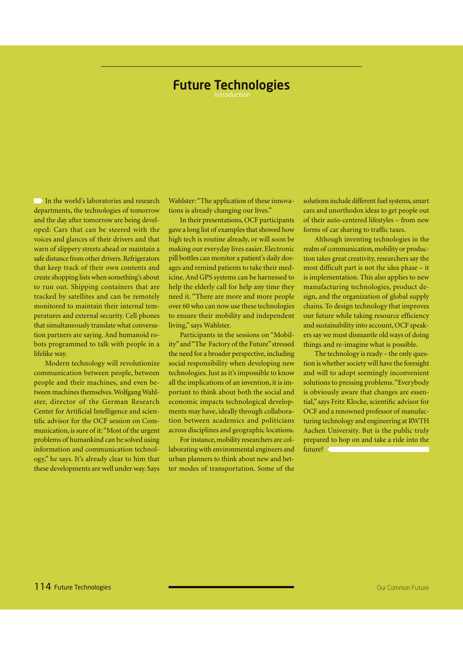#### Future Technologies

In the world's laboratories and research departments, the technologies of tomorrow and the day after tomorrow are being developed: Cars that can be steered with the voices and glances of their drivers and that warn of slippery streets ahead or maintain a safe distance from other drivers. Refrigerators that keep track of their own contents and create shopping lists when something's about to run out. Shipping containers that are tracked by satellites and can be remotely monitored to maintain their internal temperatures and external security. Cell phones that simultaneously translate what conversation partners are saying. And humanoid robots programmed to talk with people in a lifelike way.

Modern technology will revolutionize communication between people, between people and their machines, and even between machines themselves. Wolfgang Wahlster, director of the German Research Center for Artificial Intelligence and scientific advisor for the OCF session on Communication, is sure of it: "Most of the urgent problems of humankind can be solved using information and communication technology," he says. It's already clear to him that these developments are well under way. Says Wahlster: "The application of these innovations is already changing our lives."

In their presentations, OCF participants gave a long list of examples that showed how high tech is routine already, or will soon be making our everyday lives easier. Electronic pill bottles can monitor a patient's daily dosages and remind patients to take their medicine. And GPS systems can be harnessed to help the elderly call for help any time they need it. "There are more and more people over 60 who can now use these technologies to ensure their mobility and independent living," says Wahlster.

Participants in the sessions on "Mobility" and "The Factory of the Future" stressed the need for a broader perspective, including social responsibility when developing new technologies. Just as it's impossible to know all the implications of an invention, it is important to think about both the social and economic impacts technological developments may have, ideally through collaboration between academics and politicians across disciplines and geographic locations.

For instance, mobility researchers are collaborating with environmental engineers and urban planners to think about new and better modes of transportation. Some of the solutions include different fuel systems, smart cars and unorthodox ideas to get people out of their auto-centered lifestyles – from new forms of car sharing to traffic taxes.

Although inventing technologies in the realm of communication, mobility or production takes great creativity, researchers say the most difficult part is not the idea phase – it is implementation. This also applies to new manufacturing technologies, product design, and the organization of global supply chains. To design technology that improves our future while taking resource efficiency and sustainability into account, OCF speakers say we must dismantle old ways of doing things and re-imagine what is possible.

The technology is ready – the only question is whether society will have the foresight and will to adopt seemingly inconvenient solutions to pressing problems. "Everybody is obviously aware that changes are essential," says Fritz Klocke, scientific advisor for OCF and a renowned professor of manufacturing technology and engineering at RWTH Aachen University. But is the public truly prepared to hop on and take a ride into the future?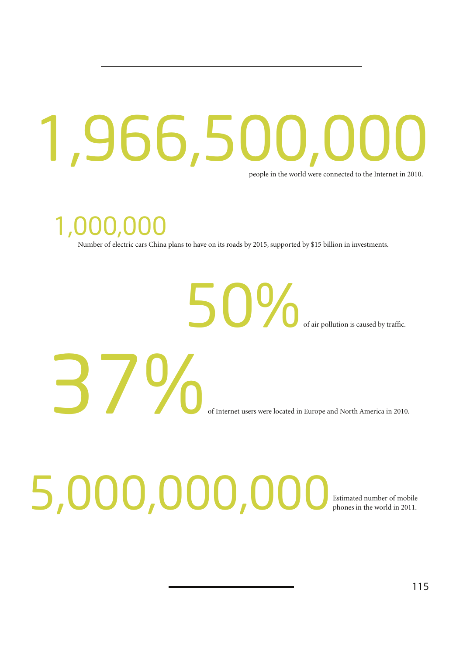# 1,966,500

people in the world were connected to the Internet in 2010.

### 1,000,000

Number of electric cars China plans to have on its roads by 2015, supported by \$15 billion in investments.

**50%** of air pollution is caused by traffic.

of Internet users were located in Europe and North America in 2010. 37%

5,000,000,000

Estimated number of mobile phones in the world in 2011.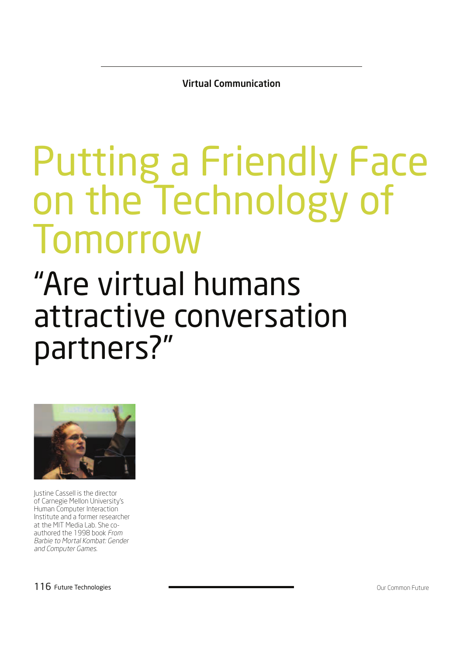Virtual Communication

# Putting a Friendly Face on the Technology of Tomorrow

## "Are virtual humans attractive conversation partners?"



Justine Cassell is the director of Carnegie Mellon University's Human Computer Interaction Institute and a former researcher at the MIT Media Lab. She coauthored the 1998 book From Barbie to Mortal Kombat: Gender and Computer Games.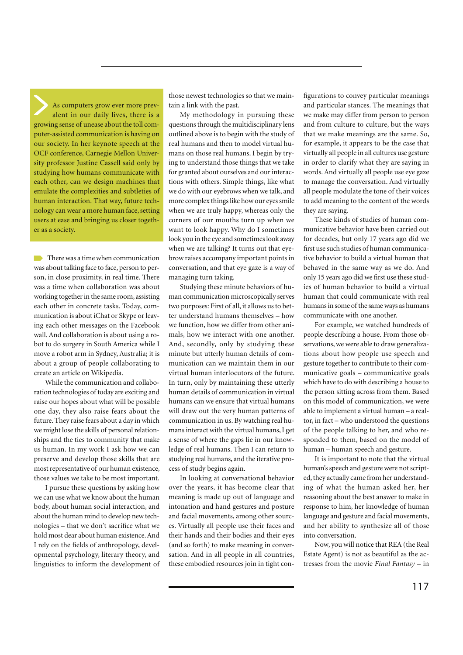As computers grow ever more prevalent in our daily lives, there is a growing sense of unease about the toll computer-assisted communication is having on our society. In her keynote speech at the OCF conference, Carnegie Mellon University professor Justine Cassell said only by studying how humans communicate with each other, can we design machines that emulate the complexities and subtleties of human interaction. That way, future technology can wear a more human face, setting users at ease and bringing us closer together as a society.

There was a time when communication was about talking face to face, person to person, in close proximity, in real time. There was a time when collaboration was about working together in the same room, assisting each other in concrete tasks. Today, communication is about iChat or Skype or leaving each other messages on the Facebook wall. And collaboration is about using a robot to do surgery in South America while I move a robot arm in Sydney, Australia; it is about a group of people collaborating to create an article on Wikipedia.

While the communication and collaboration technologies of today are exciting and raise our hopes about what will be possible one day, they also raise fears about the future. They raise fears about a day in which we might lose the skills of personal relationships and the ties to community that make us human. In my work I ask how we can preserve and develop those skills that are most representative of our human existence, those values we take to be most important.

I pursue these questions by asking how we can use what we know about the human body, about human social interaction, and about the human mind to develop new technologies – that we don't sacrifice what we hold most dear about human existence. And I rely on the fields of anthropology, developmental psychology, literary theory, and linguistics to inform the development of those newest technologies so that we maintain a link with the past.

My methodology in pursuing these questions through the multidisciplinary lens outlined above is to begin with the study of real humans and then to model virtual humans on those real humans. I begin by trying to understand those things that we take for granted about ourselves and our interactions with others. Simple things, like what we do with our eyebrows when we talk, and more complex things like how our eyes smile when we are truly happy, whereas only the corners of our mouths turn up when we want to look happy. Why do I sometimes look you in the eye and sometimes look away when we are talking? It turns out that eyebrow raises accompany important points in conversation, and that eye gaze is a way of managing turn taking.

Studying these minute behaviors of human communication microscopically serves two purposes: First of all, it allows us to better understand humans themselves – how we function, how we differ from other animals, how we interact with one another. And, secondly, only by studying these minute but utterly human details of communication can we maintain them in our virtual human interlocutors of the future. In turn, only by maintaining these utterly human details of communication in virtual humans can we ensure that virtual humans will draw out the very human patterns of communication in us. By watching real humans interact with the virtual humans, I get a sense of where the gaps lie in our knowledge of real humans. Then I can return to studying real humans, and the iterative process of study begins again.

In looking at conversational behavior over the years, it has become clear that meaning is made up out of language and intonation and hand gestures and posture and facial movements, among other sources. Virtually all people use their faces and their hands and their bodies and their eyes (and so forth) to make meaning in conversation. And in all people in all countries, these embodied resources join in tight configurations to convey particular meanings and particular stances. The meanings that we make may differ from person to person and from culture to culture, but the ways that we make meanings are the same. So, for example, it appears to be the case that virtually all people in all cultures use gesture in order to clarify what they are saying in words. And virtually all people use eye gaze to manage the conversation. And virtually all people modulate the tone of their voices to add meaning to the content of the words they are saying.

These kinds of studies of human communicative behavior have been carried out for decades, but only 17 years ago did we first use such studies of human communicative behavior to build a virtual human that behaved in the same way as we do. And only 15 years ago did we first use these studies of human behavior to build a virtual human that could communicate with real humans in some of the same ways as humans communicate with one another.

For example, we watched hundreds of people describing a house. From those observations, we were able to draw generalizations about how people use speech and gesture together to contribute to their communicative goals – communicative goals which have to do with describing a house to the person sitting across from them. Based on this model of communication, we were able to implement a virtual human – a realtor, in fact – who understood the questions of the people talking to her, and who responded to them, based on the model of human – human speech and gesture.

It is important to note that the virtual human's speech and gesture were not scripted, they actually came from her understanding of what the human asked her, her reasoning about the best answer to make in response to him, her knowledge of human language and gesture and facial movements, and her ability to synthesize all of those into conversation.

Now, you will notice that REA (the Real Estate Agent) is not as beautiful as the actresses from the movie *Final Fantasy* – in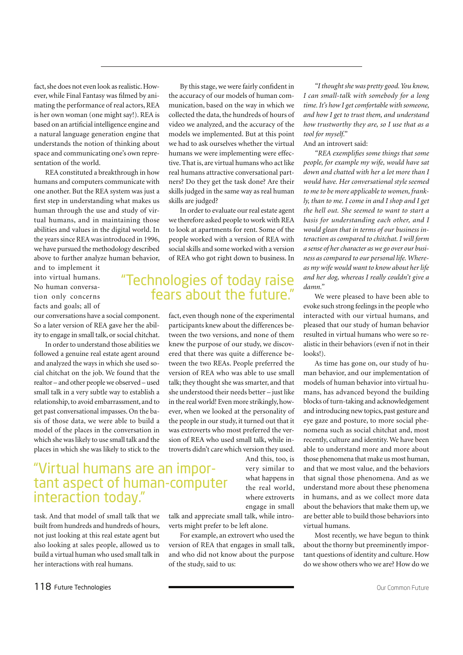fact, she does not even look as realistic. However, while Final Fantasy was filmed by animating the performance of real actors, REA is her own woman (one might say!). REA is based on an artificial intelligence engine and a natural language generation engine that understands the notion of thinking about space and communicating one's own representation of the world.

REA constituted a breakthrough in how humans and computers communicate with one another. But the REA system was just a first step in understanding what makes us human through the use and study of virtual humans, and in maintaining those abilities and values in the digital world. In the years since REA was introduced in 1996, we have pursued the methodology described above to further analyze human behavior,

and to implement it into virtual humans. No human conversation only concerns facts and goals; all of

our conversations have a social component. So a later version of REA gave her the ability to engage in small talk, or social chitchat.

In order to understand those abilities we followed a genuine real estate agent around and analyzed the ways in which she used social chitchat on the job. We found that the realtor – and other people we observed – used small talk in a very subtle way to establish a relationship, to avoid embarrassment, and to get past conversational impasses. On the basis of those data, we were able to build a model of the places in the conversation in which she was likely to use small talk and the places in which she was likely to stick to the

#### "Virtual humans are an important aspect of human-computer interaction today."

task. And that model of small talk that we built from hundreds and hundreds of hours, not just looking at this real estate agent but also looking at sales people, allowed us to build a virtual human who used small talk in her interactions with real humans.

By this stage, we were fairly confident in the accuracy of our models of human communication, based on the way in which we collected the data, the hundreds of hours of video we analyzed, and the accuracy of the models we implemented. But at this point we had to ask ourselves whether the virtual humans we were implementing were effective. That is, are virtual humans who act like real humans attractive conversational partners? Do they get the task done? Are their skills judged in the same way as real human skills are judged?

In order to evaluate our real estate agent we therefore asked people to work with REA to look at apartments for rent. Some of the people worked with a version of REA with social skills and some worked with a version of REA who got right down to business. In

#### "Technologies of today raise fears about the future."

fact, even though none of the experimental participants knew about the differences between the two versions, and none of them knew the purpose of our study, we discovered that there was quite a difference between the two REAs. People preferred the version of REA who was able to use small talk; they thought she was smarter, and that she understood their needs better – just like in the real world! Even more strikingly, however, when we looked at the personality of the people in our study, it turned out that it was extroverts who most preferred the version of REA who used small talk, while introverts didn't care which version they used.

And this, too, is very similar to what happens in the real world, where extroverts engage in small

talk and appreciate small talk, while introverts might prefer to be left alone. For example, an extrovert who used the

version of REA that engages in small talk, and who did not know about the purpose of the study, said to us:

*"I thought she was pretty good. You know, I can small-talk with somebody for a long time. It's how I get comfortable with someone, and how I get to trust them, and understand how trustworthy they are, so I use that as a tool for myself."*

#### And an introvert said:

*"REA exemplifies some things that some people, for example my wife, would have sat down and chatted with her a lot more than I would have. Her conversational style seemed to me to be more applicable to women, frankly, than to me. I come in and I shop and I get the hell out. She seemed to want to start a basis for understanding each other, and I would glean that in terms of our business interaction as compared to chitchat. I will form a sense of her character as we go over our business as compared to our personal life. Whereas my wife would want to know about her life and her dog, whereas I really couldn't give a damn."*

We were pleased to have been able to evoke such strong feelings in the people who interacted with our virtual humans, and pleased that our study of human behavior resulted in virtual humans who were so realistic in their behaviors (even if not in their looks!).

As time has gone on, our study of human behavior, and our implementation of models of human behavior into virtual humans, has advanced beyond the building blocks of turn-taking and acknowledgement and introducing new topics, past gesture and eye gaze and posture, to more social phenomena such as social chitchat and, most recently, culture and identity. We have been able to understand more and more about those phenomena that make us most human, and that we most value, and the behaviors that signal those phenomena. And as we understand more about these phenomena in humans, and as we collect more data about the behaviors that make them up, we are better able to build those behaviors into virtual humans.

Most recently, we have begun to think about the thorny but preeminently important questions of identity and culture. How do we show others who we are? How do we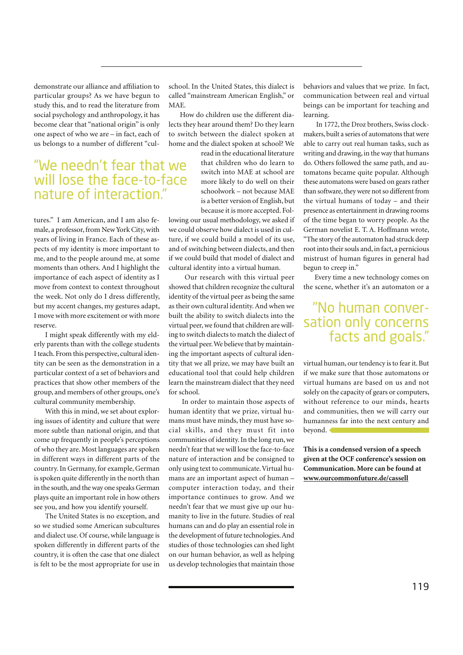demonstrate our alliance and affiliation to particular groups? As we have begun to study this, and to read the literature from social psychology and anthropology, it has become clear that "national origin" is only one aspect of who we are – in fact, each of us belongs to a number of different "cul-

#### "We needn't fear that we will lose the face-to-face nature of interaction."

tures." I am American, and I am also female, a professor, from New York City, with years of living in France. Each of these aspects of my identity is more important to me, and to the people around me, at some moments than others. And I highlight the importance of each aspect of identity as I move from context to context throughout the week. Not only do I dress differently, but my accent changes, my gestures adapt, I move with more excitement or with more reserve.

I might speak differently with my elderly parents than with the college students I teach. From this perspective, cultural identity can be seen as the demonstration in a particular context of a set of behaviors and practices that show other members of the group, and members of other groups, one's cultural community membership.

With this in mind, we set about exploring issues of identity and culture that were more subtle than national origin, and that come up frequently in people's perceptions of who they are. Most languages are spoken in different ways in different parts of the country. In Germany, for example, German is spoken quite differently in the north than in the south, and the way one speaks German plays quite an important role in how others see you, and how you identify yourself.

The United States is no exception, and so we studied some American subcultures and dialect use. Of course, while language is spoken differently in different parts of the country, it is often the case that one dialect is felt to be the most appropriate for use in school. In the United States, this dialect is called "mainstream American English," or MAE.

How do children use the different dialects they hear around them? Do they learn to switch between the dialect spoken at home and the dialect spoken at school? We

> read in the educational literature that children who do learn to switch into MAE at school are more likely to do well on their schoolwork – not because MAE is a better version of English, but because it is more accepted. Fol-

lowing our usual methodology, we asked if we could observe how dialect is used in culture, if we could build a model of its use, and of switching between dialects, and then if we could build that model of dialect and cultural identity into a virtual human.

 Our research with this virtual peer showed that children recognize the cultural identity of the virtual peer as being the same as their own cultural identity. And when we built the ability to switch dialects into the virtual peer, we found that children are willing to switch dialects to match the dialect of the virtual peer. We believe that by maintaining the important aspects of cultural identity that we all prize, we may have built an educational tool that could help children learn the mainstream dialect that they need for school.

 In order to maintain those aspects of human identity that we prize, virtual humans must have minds, they must have social skills, and they must fit into communities of identity. In the long run, we needn't fear that we will lose the face-to-face nature of interaction and be consigned to only using text to communicate. Virtual humans are an important aspect of human – computer interaction today, and their importance continues to grow. And we needn't fear that we must give up our humanity to live in the future. Studies of real humans can and do play an essential role in the development of future technologies. And studies of those technologies can shed light on our human behavior, as well as helping us develop technologies that maintain those behaviors and values that we prize. In fact, communication between real and virtual beings can be important for teaching and learning.

In 1772, the Droz brothers, Swiss clockmakers, built a series of automatons that were able to carry out real human tasks, such as writing and drawing, in the way that humans do. Others followed the same path, and automatons became quite popular. Although these automatons were based on gears rather than software, they were not so different from the virtual humans of today – and their presence as entertainment in drawing rooms of the time began to worry people. As the German novelist E. T. A. Hoffmann wrote, "The story of the automaton had struck deep root into their souls and, in fact, a pernicious mistrust of human figures in general had begun to creep in."

Every time a new technology comes on the scene, whether it's an automaton or a

#### "No human conversation only concerns facts and goals."

virtual human, our tendency is to fear it. But if we make sure that those automatons or virtual humans are based on us and not solely on the capacity of gears or computers, without reference to our minds, hearts and communities, then we will carry our humanness far into the next century and beyond.

**This is a condensed version of a speech given at the OCF conference's session on Communication. More can be found at www.ourcommonfuture.de/cassell**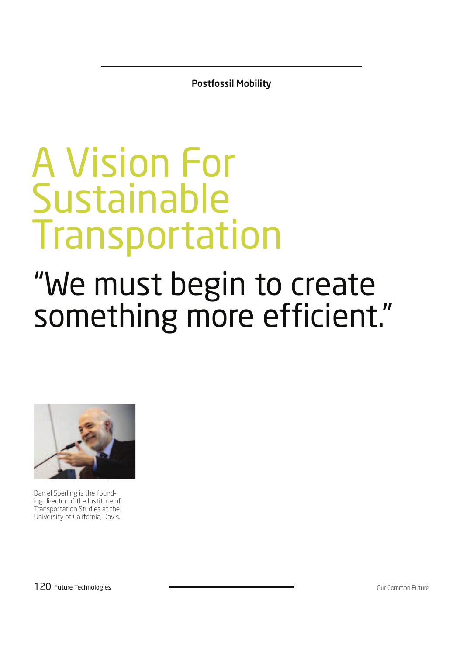Postfossil Mobility

# A Vision For Sustainable Transportation

# "We must begin to create something more efficient."



Daniel Sperling is the founding director of the Institute of Transportation Studies at the University of California, Davis.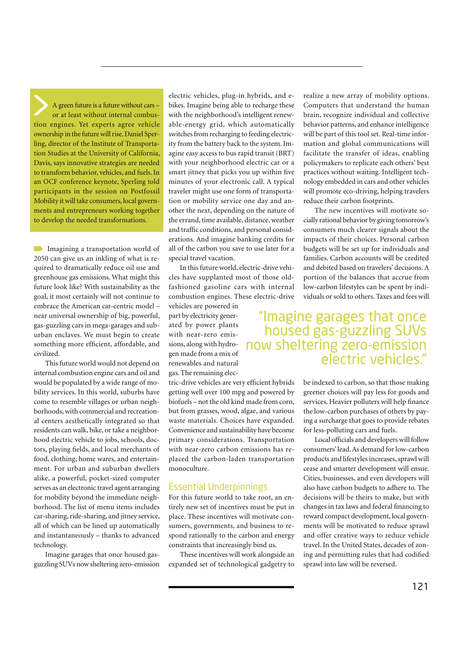A green future is a future without cars – or at least without internal combustion engines. Yet experts agree vehicle ownership in the future will rise. Daniel Sperling, director of the Institute of Transportation Studies at the University of California, Davis, says innovative strategies are needed to transform behavior, vehicles, and fuels. In an OCF conference keynote, Sperling told participants in the session on Postfossil Mobility it will take consumers, local governments and entrepreneurs working together to develop the needed transformations.

Imagining a transportation world of 2050 can give us an inkling of what is required to dramatically reduce oil use and greenhouse gas emissions. What might this future look like? With sustainability as the goal, it most certainly will not continue to embrace the American car-centric model – near universal ownership of big, powerful, gas-guzzling cars in mega-garages and suburban enclaves. We must begin to create something more efficient, affordable, and civilized.

This future world would not depend on internal combustion engine cars and oil and would be populated by a wide range of mobility services. In this world, suburbs have come to resemble villages or urban neighborhoods, with commercial and recreational centers aesthetically integrated so that residents can walk, bike, or take a neighborhood electric vehicle to jobs, schools, doctors, playing fields, and local merchants of food, clothing, home wares, and entertainment. For urban and suburban dwellers alike, a powerful, pocket-sized computer serves as an electronic travel agent arranging for mobility beyond the immediate neighborhood. The list of menu items includes car-sharing, ride-sharing, and jitney service, all of which can be lined up automatically and instantaneously – thanks to advanced technology.

Imagine garages that once housed gasguzzling SUVs now sheltering zero-emission electric vehicles, plug-in hybrids, and ebikes. Imagine being able to recharge these with the neighborhood's intelligent renewable-energy grid, which automatically switches from recharging to feeding electricity from the battery back to the system. Imagine easy access to bus rapid transit (BRT) with your neighborhood electric car or a smart jitney that picks you up within five minutes of your electronic call. A typical traveler might use one form of transportation or mobility service one day and another the next, depending on the nature of the errand, time available, distance, weather and traffic conditions, and personal considerations. And imagine banking credits for all of the carbon you save to use later for a special travel vacation.

In this future world, electric-drive vehicles have supplanted most of those oldfashioned gasoline cars with internal combustion engines. These electric-drive

vehicles are powered in part by electricity generated by power plants with near-zero emissions, along with hydrogen made from a mix of renewables and natural gas. The remaining elec-

tric-drive vehicles are very efficient hybrids getting well over 100 mpg and powered by biofuels – not the old kind made from corn, but from grasses, wood, algae, and various waste materials. Choices have expanded. Convenience and sustainability have become primary considerations. Transportation with near-zero carbon emissions has replaced the carbon-laden transportation monoculture.

#### Essential Underpinnings

For this future world to take root, an entirely new set of incentives must be put in place. These incentives will motivate consumers, governments, and business to respond rationally to the carbon and energy constraints that increasingly bind us.

These incentives will work alongside an expanded set of technological gadgetry to

realize a new array of mobility options. Computers that understand the human brain, recognize individual and collective behavior patterns, and enhance intelligence will be part of this tool set. Real-time information and global communications will facilitate the transfer of ideas, enabling policymakers to replicate each others' best practices without waiting. Intelligent technology embedded in cars and other vehicles will promote eco-driving, helping travelers reduce their carbon footprints.

The new incentives will motivate socially rational behavior by giving tomorrow's consumers much clearer signals about the impacts of their choices. Personal carbon budgets will be set up for individuals and families. Carbon accounts will be credited and debited based on travelers' decisions. A portion of the balances that accrue from low-carbon lifestyles can be spent by individuals or sold to others. Taxes and fees will

#### "Imagine garages that once housed gas-guzzling SUVs now sheltering zero-emission electric vehicles."

be indexed to carbon, so that those making greener choices will pay less for goods and services. Heavier polluters will help finance the low-carbon purchases of others by paying a surcharge that goes to provide rebates for less-polluting cars and fuels.

Local officials and developers will follow consumers' lead. As demand for low-carbon products and lifestyles increases, sprawl will cease and smarter development will ensue. Cities, businesses, and even developers will also have carbon budgets to adhere to. The decisions will be theirs to make, but with changes in tax laws and federal financing to reward compact development, local governments will be motivated to reduce sprawl and offer creative ways to reduce vehicle travel. In the United States, decades of zoning and permitting rules that had codified sprawl into law will be reversed.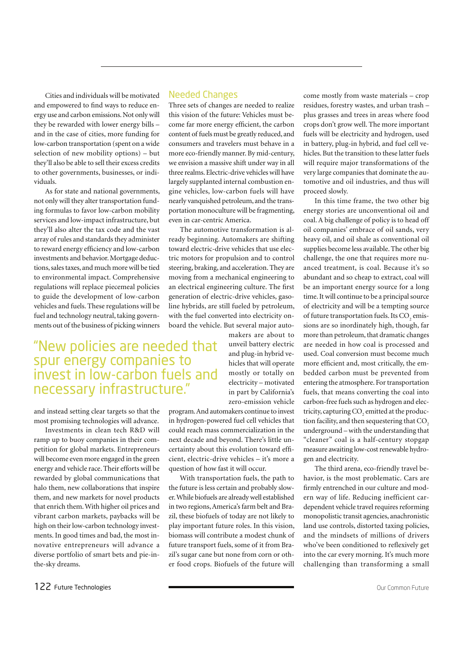Cities and individuals will be motivated and empowered to find ways to reduce energy use and carbon emissions. Not only will they be rewarded with lower energy bills – and in the case of cities, more funding for low-carbon transportation (spent on a wide selection of new mobility options) – but they'll also be able to sell their excess credits to other governments, businesses, or individuals.

As for state and national governments, not only will they alter transportation funding formulas to favor low-carbon mobility services and low-impact infrastructure, but they'll also alter the tax code and the vast array of rules and standards they administer to reward energy efficiency and low-carbon investments and behavior. Mortgage deductions, sales taxes, and much more will be tied to environmental impact. Comprehensive regulations will replace piecemeal policies to guide the development of low-carbon vehicles and fuels. These regulations will be fuel and technology neutral, taking governments out of the business of picking winners

#### "New policies are needed that spur energy companies to invest in low-carbon fuels and necessary infrastructure."

and instead setting clear targets so that the most promising technologies will advance.

Investments in clean tech R&D will ramp up to buoy companies in their competition for global markets. Entrepreneurs will become even more engaged in the green energy and vehicle race. Their efforts will be rewarded by global communications that halo them, new collaborations that inspire them, and new markets for novel products that enrich them. With higher oil prices and vibrant carbon markets, paybacks will be high on their low-carbon technology investments. In good times and bad, the most innovative entrepreneurs will advance a diverse portfolio of smart bets and pie-inthe-sky dreams.

Three sets of changes are needed to realize this vision of the future: Vehicles must become far more energy efficient, the carbon content of fuels must be greatly reduced, and consumers and travelers must behave in a more eco-friendly manner. By mid-century, we envision a massive shift under way in all three realms. Electric-drive vehicles will have largely supplanted internal combustion engine vehicles, low-carbon fuels will have nearly vanquished petroleum, and the transportation monoculture will be fragmenting, even in car-centric America.

The automotive transformation is already beginning. Automakers are shifting toward electric-drive vehicles that use electric motors for propulsion and to control steering, braking, and acceleration. They are moving from a mechanical engineering to an electrical engineering culture. The first generation of electric-drive vehicles, gasoline hybrids, are still fueled by petroleum, with the fuel converted into electricity onboard the vehicle. But several major auto-

makers are about to unveil battery electric and plug-in hybrid vehicles that will operate mostly or totally on electricity – motivated in part by California's zero-emission vehicle

program. And automakers continue to invest in hydrogen-powered fuel cell vehicles that could reach mass commercialization in the next decade and beyond. There's little uncertainty about this evolution toward efficient, electric-drive vehicles – it's more a question of how fast it will occur.

With transportation fuels, the path to the future is less certain and probably slower. While biofuels are already well established in two regions, America's farm belt and Brazil, these biofuels of today are not likely to play important future roles. In this vision, biomass will contribute a modest chunk of future transport fuels, some of it from Brazil's sugar cane but none from corn or other food crops. Biofuels of the future will come mostly from waste materials – crop residues, forestry wastes, and urban trash – plus grasses and trees in areas where food crops don't grow well. The more important fuels will be electricity and hydrogen, used in battery, plug-in hybrid, and fuel cell vehicles. But the transition to these latter fuels will require major transformations of the very large companies that dominate the automotive and oil industries, and thus will proceed slowly.

In this time frame, the two other big energy stories are unconventional oil and coal. A big challenge of policy is to head off oil companies' embrace of oil sands, very heavy oil, and oil shale as conventional oil supplies become less available. The other big challenge, the one that requires more nuanced treatment, is coal. Because it's so abundant and so cheap to extract, coal will be an important energy source for a long time. It will continue to be a principal source of electricity and will be a tempting source of future transportation fuels. Its  $\mathrm{CO}_2$  emissions are so inordinately high, though, far more than petroleum, that dramatic changes are needed in how coal is processed and used. Coal conversion must become much more efficient and, most critically, the embedded carbon must be prevented from entering the atmosphere. For transportation fuels, that means converting the coal into carbon-free fuels such as hydrogen and electricity, capturing  $\mathrm{CO}_2$  emitted at the production facility, and then sequestering that CO<sub>2</sub> underground – with the understanding that "cleaner" coal is a half-century stopgap measure awaiting low-cost renewable hydrogen and electricity.

The third arena, eco-friendly travel behavior, is the most problematic. Cars are firmly entrenched in our culture and modern way of life. Reducing inefficient cardependent vehicle travel requires reforming monopolistic transit agencies, anachronistic land use controls, distorted taxing policies, and the mindsets of millions of drivers who've been conditioned to reflexively get into the car every morning. It's much more challenging than transforming a small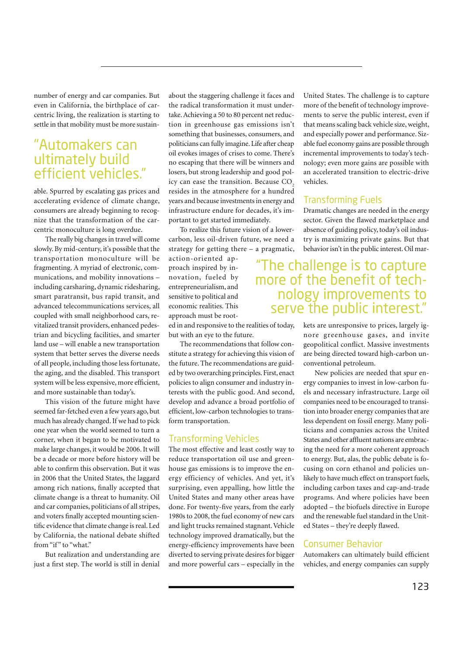number of energy and car companies. But even in California, the birthplace of carcentric living, the realization is starting to settle in that mobility must be more sustain-

#### "Automakers can ultimately build efficient vehicles."

able. Spurred by escalating gas prices and accelerating evidence of climate change, consumers are already beginning to recognize that the transformation of the carcentric monoculture is long overdue.

The really big changes in travel will come slowly. By mid-century, it's possible that the transportation monoculture will be fragmenting. A myriad of electronic, communications, and mobility innovations – including carsharing, dynamic ridesharing, smart paratransit, bus rapid transit, and advanced telecommunications services, all coupled with small neighborhood cars, revitalized transit providers, enhanced pedestrian and bicycling facilities, and smarter land use – will enable a new transportation system that better serves the diverse needs of all people, including those less fortunate, the aging, and the disabled. This transport system will be less expensive, more efficient, and more sustainable than today's.

This vision of the future might have seemed far-fetched even a few years ago, but much has already changed. If we had to pick one year when the world seemed to turn a corner, when it began to be motivated to make large changes, it would be 2006. It will be a decade or more before history will be able to confirm this observation. But it was in 2006 that the United States, the laggard among rich nations, finally accepted that climate change is a threat to humanity. Oil and car companies, politicians of all stripes, and voters finally accepted mounting scientific evidence that climate change is real. Led by California, the national debate shifted from "if" to "what."

But realization and understanding are just a first step. The world is still in denial about the staggering challenge it faces and the radical transformation it must undertake. Achieving a 50 to 80 percent net reduction in greenhouse gas emissions isn't something that businesses, consumers, and politicians can fully imagine. Life after cheap oil evokes images of crises to come. There's no escaping that there will be winners and losers, but strong leadership and good policy can ease the transition. Because CO<sub>2</sub> resides in the atmosphere for a hundred years and because investments in energy and infrastructure endure for decades, it's important to get started immediately.

To realize this future vision of a lowercarbon, less oil-driven future, we need a strategy for getting there – a pragmatic,

action-oriented approach inspired by innovation, fueled by entrepreneurialism, and sensitive to political and economic realities. This approach must be root-

ed in and responsive to the realities of today, but with an eye to the future.

The recommendations that follow constitute a strategy for achieving this vision of the future. The recommendations are guided by two overarching principles. First, enact policies to align consumer and industry interests with the public good. And second, develop and advance a broad portfolio of efficient, low-carbon technologies to transform transportation.

#### Transforming Vehicles

The most effective and least costly way to reduce transportation oil use and greenhouse gas emissions is to improve the energy efficiency of vehicles. And yet, it's surprising, even appalling, how little the United States and many other areas have done. For twenty-five years, from the early 1980s to 2008, the fuel economy of new cars and light trucks remained stagnant. Vehicle technology improved dramatically, but the energy-efficiency improvements have been diverted to serving private desires for bigger and more powerful cars – especially in the United States. The challenge is to capture more of the benefit of technology improvements to serve the public interest, even if that means scaling back vehicle size, weight, and especially power and performance. Sizable fuel economy gains are possible through incremental improvements to today's technology; even more gains are possible with an accelerated transition to electric-drive vehicles.

#### Transforming Fuels

Dramatic changes are needed in the energy sector. Given the flawed marketplace and absence of guiding policy, today's oil industry is maximizing private gains. But that behavior isn't in the public interest. Oil mar-

"The challenge is to capture more of the benefit of technology improvements to serve the public interest."

> kets are unresponsive to prices, largely ignore greenhouse gases, and invite geopolitical conflict. Massive investments are being directed toward high-carbon unconventional petroleum.

> New policies are needed that spur energy companies to invest in low-carbon fuels and necessary infrastructure. Large oil companies need to be encouraged to transition into broader energy companies that are less dependent on fossil energy. Many politicians and companies across the United States and other affluent nations are embracing the need for a more coherent approach to energy. But, alas, the public debate is focusing on corn ethanol and policies unlikely to have much effect on transport fuels, including carbon taxes and cap-and-trade programs. And where policies have been adopted – the biofuels directive in Europe and the renewable fuel standard in the United States – they're deeply flawed.

#### Consumer Behavior

Automakers can ultimately build efficient vehicles, and energy companies can supply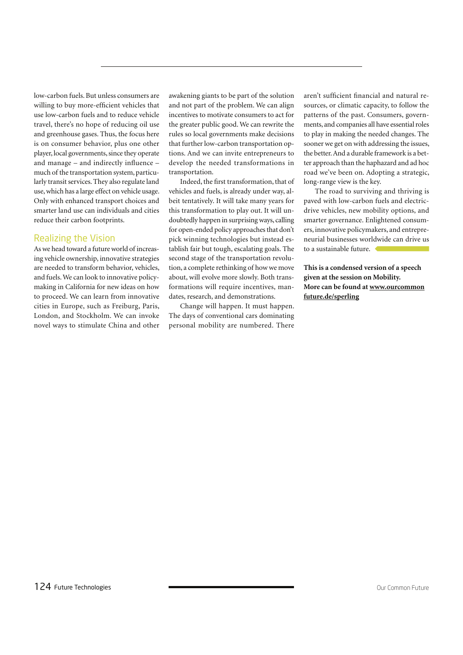low-carbon fuels. But unless consumers are willing to buy more-efficient vehicles that use low-carbon fuels and to reduce vehicle travel, there's no hope of reducing oil use and greenhouse gases. Thus, the focus here is on consumer behavior, plus one other player, local governments, since they operate and manage – and indirectly influence – much of the transportation system, particularly transit services. They also regulate land use, which has a large effect on vehicle usage. Only with enhanced transport choices and smarter land use can individuals and cities reduce their carbon footprints.

#### Realizing the Vision

As we head toward a future world of increasing vehicle ownership, innovative strategies are needed to transform behavior, vehicles, and fuels. We can look to innovative policymaking in California for new ideas on how to proceed. We can learn from innovative cities in Europe, such as Freiburg, Paris, London, and Stockholm. We can invoke novel ways to stimulate China and other awakening giants to be part of the solution and not part of the problem. We can align incentives to motivate consumers to act for the greater public good. We can rewrite the rules so local governments make decisions that further low-carbon transportation options. And we can invite entrepreneurs to develop the needed transformations in transportation.

Indeed, the first transformation, that of vehicles and fuels, is already under way, albeit tentatively. It will take many years for this transformation to play out. It will undoubtedly happen in surprising ways, calling for open-ended policy approaches that don't pick winning technologies but instead establish fair but tough, escalating goals. The second stage of the transportation revolution, a complete rethinking of how we move about, will evolve more slowly. Both transformations will require incentives, mandates, research, and demonstrations.

Change will happen. It must happen. The days of conventional cars dominating personal mobility are numbered. There

aren't sufficient financial and natural resources, or climatic capacity, to follow the patterns of the past. Consumers, governments, and companies all have essential roles to play in making the needed changes. The sooner we get on with addressing the issues, the better. And a durable framework is a better approach than the haphazard and ad hoc road we've been on. Adopting a strategic, long-range view is the key.

The road to surviving and thriving is paved with low-carbon fuels and electricdrive vehicles, new mobility options, and smarter governance. Enlightened consumers, innovative policymakers, and entrepreneurial businesses worldwide can drive us to a sustainable future.

**This is a condensed version of a speech given at the session on Mobility. More can be found at www.ourcommon future.de/sperling**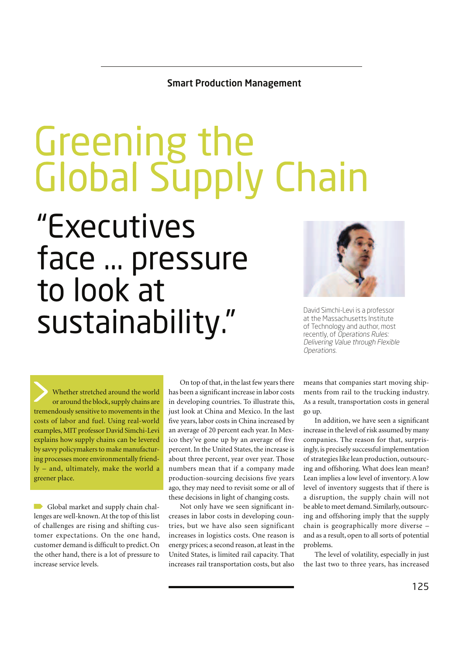#### Smart Production Management

# Greening the Global Supply Chain

"Executives face ... pressure to look at sustainability."



David Simchi-Levi is a professor at the Massachusetts Institute of Technology and author, most recently, of Operations Rules: Delivering Value through Flexible Operations.

Whether stretched around the world or around the block, supply chains are tremendously sensitive to movements in the costs of labor and fuel. Using real-world examples, MIT professor David Simchi-Levi explains how supply chains can be levered by savvy policymakers to make manufacturing processes more environmentally friendly – and, ultimately, make the world a greener place.

Global market and supply chain challenges are well-known. At the top of this list of challenges are rising and shifting customer expectations. On the one hand, customer demand is difficult to predict. On the other hand, there is a lot of pressure to increase service levels.

On top of that, in the last few years there has been a significant increase in labor costs in developing countries. To illustrate this, just look at China and Mexico. In the last five years, labor costs in China increased by an average of 20 percent each year. In Mexico they've gone up by an average of five percent. In the United States, the increase is about three percent, year over year. Those numbers mean that if a company made production-sourcing decisions five years ago, they may need to revisit some or all of these decisions in light of changing costs.

Not only have we seen significant increases in labor costs in developing countries, but we have also seen significant increases in logistics costs. One reason is energy prices; a second reason, at least in the United States, is limited rail capacity. That increases rail transportation costs, but also means that companies start moving shipments from rail to the trucking industry. As a result, transportation costs in general go up.

In addition, we have seen a significant increase in the level of risk assumed by many companies. The reason for that, surprisingly, is precisely successful implementation of strategies like lean production, outsourcing and offshoring. What does lean mean? Lean implies a low level of inventory. A low level of inventory suggests that if there is a disruption, the supply chain will not be able to meet demand. Similarly, outsourcing and offshoring imply that the supply chain is geographically more diverse – and as a result, open to all sorts of potential problems.

The level of volatility, especially in just the last two to three years, has increased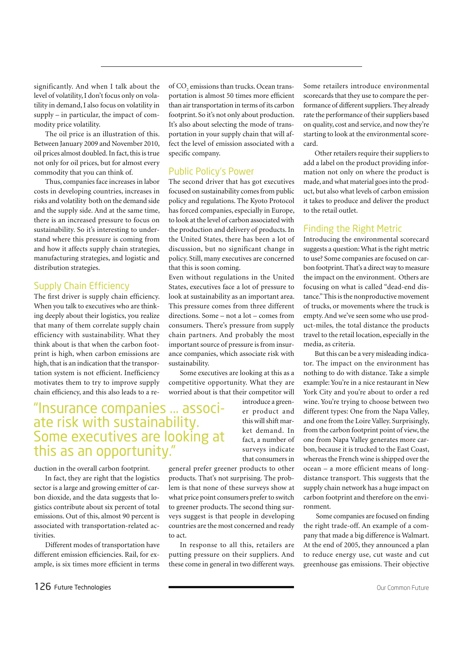significantly. And when I talk about the level of volatility, I don't focus only on volatility in demand, I also focus on volatility in supply – in particular, the impact of commodity price volatility.

The oil price is an illustration of this. Between January 2009 and November 2010, oil prices almost doubled. In fact, this is true not only for oil prices, but for almost every commodity that you can think of.

Thus, companies face increases in labor costs in developing countries, increases in risks and volatility both on the demand side and the supply side. And at the same time, there is an increased pressure to focus on sustainability. So it's interesting to understand where this pressure is coming from and how it affects supply chain strategies, manufacturing strategies, and logistic and distribution strategies.

#### Supply Chain Efficiency

The first driver is supply chain efficiency. When you talk to executives who are thinking deeply about their logistics, you realize that many of them correlate supply chain efficiency with sustainability. What they think about is that when the carbon footprint is high, when carbon emissions are high, that is an indication that the transportation system is not efficient. Inefficiency motivates them to try to improve supply chain efficiency, and this also leads to a re-

#### "Insurance companies ... associate risk with sustainability. Some executives are looking at this as an opportunity."

duction in the overall carbon footprint.

In fact, they are right that the logistics sector is a large and growing emitter of carbon dioxide, and the data suggests that logistics contribute about six percent of total emissions. Out of this, almost 90 percent is associated with transportation-related activities.

Different modes of transportation have different emission efficiencies. Rail, for example, is six times more efficient in terms

of  $\mathrm{CO}_2$  emissions than trucks. Ocean transportation is almost 50 times more efficient than air transportation in terms of its carbon footprint. So it's not only about production. It's also about selecting the mode of transportation in your supply chain that will affect the level of emission associated with a specific company.

#### Public Policy's Power

The second driver that has got executives focused on sustainability comes from public policy and regulations. The Kyoto Protocol has forced companies, especially in Europe, to look at the level of carbon associated with the production and delivery of products. In the United States, there has been a lot of discussion, but no significant change in policy. Still, many executives are concerned that this is soon coming.

Even without regulations in the United States, executives face a lot of pressure to look at sustainability as an important area. This pressure comes from three different directions. Some – not a lot – comes from consumers. There's pressure from supply chain partners. And probably the most important source of pressure is from insurance companies, which associate risk with sustainability.

Some executives are looking at this as a competitive opportunity. What they are worried about is that their competitor will

introduce a greener product and this will shift market demand. In fact, a number of surveys indicate that consumers in

general prefer greener products to other products. That's not surprising. The problem is that none of these surveys show at what price point consumers prefer to switch to greener products. The second thing surveys suggest is that people in developing countries are the most concerned and ready to act.

In response to all this, retailers are putting pressure on their suppliers. And these come in general in two different ways.

Some retailers introduce environmental scorecards that they use to compare the performance of different suppliers. They already rate the performance of their suppliers based on quality, cost and service, and now they're starting to look at the environmental scorecard.

Other retailers require their suppliers to add a label on the product providing information not only on where the product is made, and what material goes into the product, but also what levels of carbon emission it takes to produce and deliver the product to the retail outlet.

#### Finding the Right Metric

Introducing the environmental scorecard suggests a question: What is the right metric to use? Some companies are focused on carbon footprint. That's a direct way to measure the impact on the environment. Others are focusing on what is called "dead-end distance." This is the nonproductive movement of trucks, or movements where the truck is empty. And we've seen some who use product-miles, the total distance the products travel to the retail location, especially in the media, as criteria.

But this can be a very misleading indicator. The impact on the environment has nothing to do with distance. Take a simple example: You're in a nice restaurant in New York City and you're about to order a red wine. You're trying to choose between two different types: One from the Napa Valley, and one from the Loire Valley. Surprisingly, from the carbon footprint point of view, the one from Napa Valley generates more carbon, because it is trucked to the East Coast, whereas the French wine is shipped over the ocean – a more efficient means of longdistance transport. This suggests that the supply chain network has a huge impact on carbon footprint and therefore on the environment.

 Some companies are focused on finding the right trade-off. An example of a company that made a big difference is Walmart. At the end of 2005, they announced a plan to reduce energy use, cut waste and cut greenhouse gas emissions. Their objective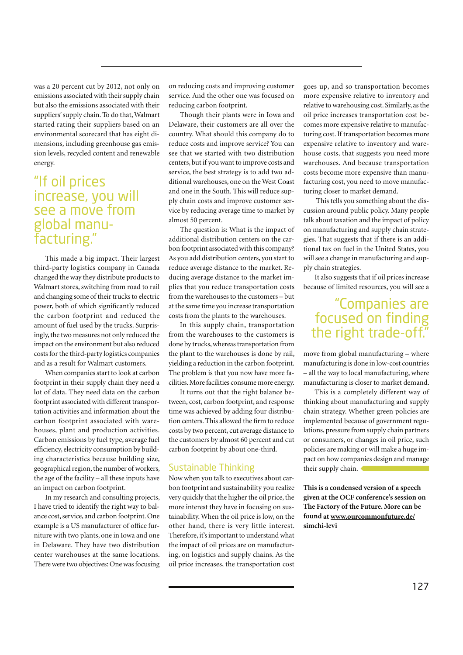was a 20 percent cut by 2012, not only on emissions associated with their supply chain but also the emissions associated with their suppliers' supply chain. To do that, Walmart started rating their suppliers based on an environmental scorecard that has eight dimensions, including greenhouse gas emission levels, recycled content and renewable energy.

#### "If oil prices increase, you will see a move from global manufacturing."

This made a big impact. Their largest third-party logistics company in Canada changed the way they distribute products to Walmart stores, switching from road to rail and changing some of their trucks to electric power, both of which significantly reduced the carbon footprint and reduced the amount of fuel used by the trucks. Surprisingly, the two measures not only reduced the impact on the environment but also reduced costs for the third-party logistics companies and as a result for Walmart customers.

When companies start to look at carbon footprint in their supply chain they need a lot of data. They need data on the carbon footprint associated with different transportation activities and information about the carbon footprint associated with warehouses, plant and production activities. Carbon emissions by fuel type, average fuel efficiency, electricity consumption by building characteristics because building size, geographical region, the number of workers, the age of the facility – all these inputs have an impact on carbon footprint.

In my research and consulting projects, I have tried to identify the right way to balance cost, service, and carbon footprint. One example is a US manufacturer of office furniture with two plants, one in Iowa and one in Delaware. They have two distribution center warehouses at the same locations. There were two objectives: One was focusing on reducing costs and improving customer service. And the other one was focused on reducing carbon footprint.

Though their plants were in Iowa and Delaware, their customers are all over the country. What should this company do to reduce costs and improve service? You can see that we started with two distribution centers, but if you want to improve costs and service, the best strategy is to add two additional warehouses, one on the West Coast and one in the South. This will reduce supply chain costs and improve customer service by reducing average time to market by almost 50 percent.

The question is: What is the impact of additional distribution centers on the carbon footprint associated with this company? As you add distribution centers, you start to reduce average distance to the market. Reducing average distance to the market implies that you reduce transportation costs from the warehouses to the customers – but at the same time you increase transportation costs from the plants to the warehouses.

In this supply chain, transportation from the warehouses to the customers is done by trucks, whereas transportation from the plant to the warehouses is done by rail, yielding a reduction in the carbon footprint. The problem is that you now have more facilities. More facilities consume more energy.

It turns out that the right balance between, cost, carbon footprint, and response time was achieved by adding four distribution centers. This allowed the firm to reduce costs by two percent, cut average distance to the customers by almost 60 percent and cut carbon footprint by about one-third.

#### Sustainable Thinking

Now when you talk to executives about carbon footprint and sustainability you realize very quickly that the higher the oil price, the more interest they have in focusing on sustainability. When the oil price is low, on the other hand, there is very little interest. Therefore, it's important to understand what the impact of oil prices are on manufacturing, on logistics and supply chains. As the oil price increases, the transportation cost goes up, and so transportation becomes more expensive relative to inventory and relative to warehousing cost. Similarly, as the oil price increases transportation cost becomes more expensive relative to manufacturing cost. If transportation becomes more expensive relative to inventory and warehouse costs, that suggests you need more warehouses. And because transportation costs become more expensive than manufacturing cost, you need to move manufacturing closer to market demand.

 This tells you something about the discussion around public policy. Many people talk about taxation and the impact of policy on manufacturing and supply chain strategies. That suggests that if there is an additional tax on fuel in the United States, you will see a change in manufacturing and supply chain strategies.

It also suggests that if oil prices increase because of limited resources, you will see a

#### "Companies are focused on finding the right trade-off."

move from global manufacturing – where manufacturing is done in low-cost countries – all the way to local manufacturing, where manufacturing is closer to market demand.

This is a completely different way of thinking about manufacturing and supply chain strategy. Whether green policies are implemented because of government regulations, pressure from supply chain partners or consumers, or changes in oil price, such policies are making or will make a huge impact on how companies design and manage their supply chain.

**This is a condensed version of a speech given at the OCF conference's session on The Factory of the Future. More can be found at www.ourcommonfuture.de/ simchi-levi**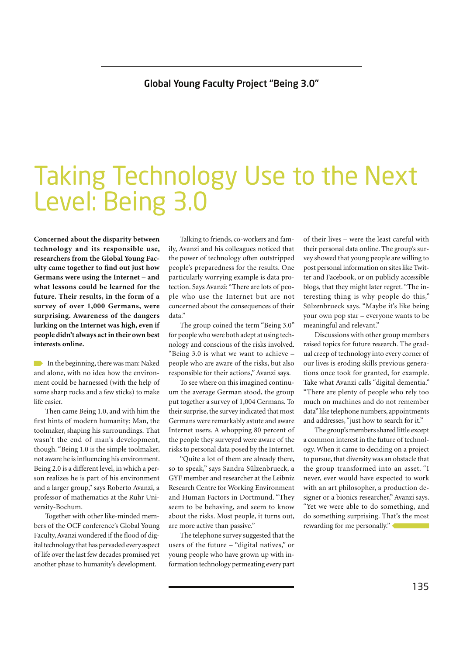#### Global Young Faculty Project "Being 3.0"

### Taking Technology Use to the Next Level: Being 3.0

**Concerned about the disparity between technology and its responsible use, researchers from the Global Young Faculty came together to find out just how Germans were using the Internet – and what lessons could be learned for the future. Their results, in the form of a survey of over 1,000 Germans, were surprising. Awareness of the dangers lurking on the Internet was high, even if people didn't always act in their own best interests online.**

In the beginning, there was man: Naked and alone, with no idea how the environment could be harnessed (with the help of some sharp rocks and a few sticks) to make life easier.

Then came Being 1.0, and with him the first hints of modern humanity: Man, the toolmaker, shaping his surroundings. That wasn't the end of man's development, though. "Being 1.0 is the simple toolmaker, not aware he is influencing his environment. Being 2.0 is a different level, in which a person realizes he is part of his environment and a larger group," says Roberto Avanzi, a professor of mathematics at the Ruhr University-Bochum.

Together with other like-minded members of the OCF conference's Global Young Faculty, Avanzi wondered if the flood of digital technology that has pervaded every aspect of life over the last few decades promised yet another phase to humanity's development.

Talking to friends, co-workers and family, Avanzi and his colleagues noticed that the power of technology often outstripped people's preparedness for the results. One particularly worrying example is data protection. Says Avanzi: "There are lots of people who use the Internet but are not concerned about the consequences of their data."

The group coined the term "Being 3.0" for people who were both adept at using technology and conscious of the risks involved. "Being 3.0 is what we want to achieve  $$ people who are aware of the risks, but also responsible for their actions," Avanzi says.

To see where on this imagined continuum the average German stood, the group put together a survey of 1,004 Germans. To their surprise, the survey indicated that most Germans were remarkably astute and aware Internet users. A whopping 80 percent of the people they surveyed were aware of the risks to personal data posed by the Internet.

"Quite a lot of them are already there, so to speak," says Sandra Sülzenbrueck, a GYF member and researcher at the Leibniz Research Centre for Working Environment and Human Factors in Dortmund. "They seem to be behaving, and seem to know about the risks. Most people, it turns out, are more active than passive."

The telephone survey suggested that the users of the future – "digital natives," or young people who have grown up with information technology permeating every part of their lives – were the least careful with their personal data online. The group's survey showed that young people are willing to post personal information on sites like Twitter and Facebook, or on publicly accessible blogs, that they might later regret. "The interesting thing is why people do this," Sülzenbrueck says. "Maybe it's like being your own pop star – everyone wants to be meaningful and relevant."

Discussions with other group members raised topics for future research. The gradual creep of technology into every corner of our lives is eroding skills previous generations once took for granted, for example. Take what Avanzi calls "digital dementia." "There are plenty of people who rely too much on machines and do not remember data" like telephone numbers, appointments and addresses, "just how to search for it."

The group's members shared little except a common interest in the future of technology. When it came to deciding on a project to pursue, that diversity was an obstacle that the group transformed into an asset. "I never, ever would have expected to work with an art philosopher, a production designer or a bionics researcher," Avanzi says. "Yet we were able to do something, and do something surprising. That's the most rewarding for me personally."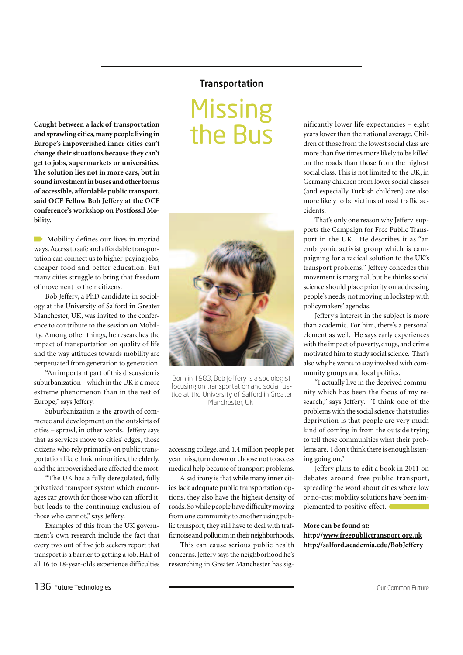**Caught between a lack of transportation and sprawling cities, many people living in Europe's impoverished inner cities can't change their situations because they can't get to jobs, supermarkets or universities. The solution lies not in more cars, but in sound investment in buses and other forms of accessible, affordable public transport, said OCF Fellow Bob Jeffery at the OCF conference's workshop on Postfossil Mobility.**

Mobility defines our lives in myriad ways. Access to safe and affordable transportation can connect us to higher-paying jobs, cheaper food and better education. But many cities struggle to bring that freedom of movement to their citizens.

Bob Jeffery, a PhD candidate in sociology at the University of Salford in Greater Manchester, UK, was invited to the conference to contribute to the session on Mobility. Among other things, he researches the impact of transportation on quality of life and the way attitudes towards mobility are perpetuated from generation to generation.

"An important part of this discussion is suburbanization – which in the UK is a more extreme phenomenon than in the rest of Europe," says Jeffery.

Suburbanization is the growth of commerce and development on the outskirts of cities – sprawl, in other words. Jeffery says that as services move to cities' edges, those citizens who rely primarily on public transportation like ethnic minorities, the elderly, and the impoverished are affected the most.

"The UK has a fully deregulated, fully privatized transport system which encourages car growth for those who can afford it, but leads to the continuing exclusion of those who cannot," says Jeffery.

Examples of this from the UK government's own research include the fact that every two out of five job seekers report that transport is a barrier to getting a job. Half of all 16 to 18-year-olds experience difficulties

#### **Transportation**

Missing



Born in 1983, Bob Jeffery is a sociologist focusing on transportation and social justice at the University of Salford in Greater Manchester, UK.

accessing college, and 1.4 million people per year miss, turn down or choose not to access medical help because of transport problems.

A sad irony is that while many inner cities lack adequate public transportation options, they also have the highest density of roads. So while people have difficulty moving from one community to another using public transport, they still have to deal with traffic noise and pollution in their neighborhoods.

This can cause serious public health concerns. Jeffery says the neighborhood he's researching in Greater Manchester has sig-

nificantly lower life expectancies – eight<br>years lower than the national average. Chilyears lower than the national average. Children of those from the lowest social class are more than five times more likely to be killed on the roads than those from the highest social class. This is not limited to the UK, in Germany children from lower social classes (and especially Turkish children) are also more likely to be victims of road traffic accidents.

> That's only one reason why Jeffery supports the Campaign for Free Public Transport in the UK. He describes it as "an embryonic activist group which is campaigning for a radical solution to the UK's transport problems." Jeffery concedes this movement is marginal, but he thinks social science should place priority on addressing people's needs, not moving in lockstep with policymakers' agendas.

> Jeffery's interest in the subject is more than academic. For him, there's a personal element as well. He says early experiences with the impact of poverty, drugs, and crime motivated him to study social science. That's also why he wants to stay involved with community groups and local politics.

> "I actually live in the deprived community which has been the focus of my research," says Jeffery. "I think one of the problems with the social science that studies deprivation is that people are very much kind of coming in from the outside trying to tell these communities what their problems are. I don't think there is enough listening going on."

> Jeffery plans to edit a book in 2011 on debates around free public transport, spreading the word about cities where low or no-cost mobility solutions have been implemented to positive effect.

**More can be found at: http://www.freepublictransport.org.uk http://salford.academia.edu/BobJeffery**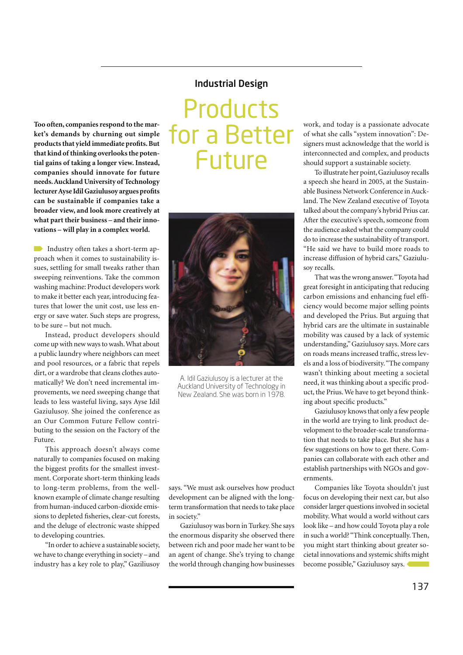#### Industrial Design

**Too often, companies respond to the market's demands by churning out simple products that yield immediate profits. But that kind of thinking overlooks the potential gains of taking a longer view. Instead, companies should innovate for future needs. Auckland University of Technology lecturer Ayse Idil Gaziulusoy argues profits can be sustainable if companies take a broader view, and look more creatively at what part their business – and their innovations – will play in a complex world.**

Industry often takes a short-term ap- $\blacksquare$ proach when it comes to sustainability issues, settling for small tweaks rather than sweeping reinventions. Take the common washing machine: Product developers work to make it better each year, introducing features that lower the unit cost, use less energy or save water. Such steps are progress, to be sure – but not much.

Instead, product developers should come up with new ways to wash. What about a public laundry where neighbors can meet and pool resources, or a fabric that repels dirt, or a wardrobe that cleans clothes automatically? We don't need incremental improvements, we need sweeping change that leads to less wasteful living, says Ayse Idil Gaziulusoy. She joined the conference as an Our Common Future Fellow contributing to the session on the Factory of the Future.

This approach doesn't always come naturally to companies focused on making the biggest profits for the smallest investment. Corporate short-term thinking leads to long-term problems, from the wellknown example of climate change resulting from human-induced carbon-dioxide emissions to depleted fisheries, clear-cut forests, and the deluge of electronic waste shipped to developing countries.

"In order to achieve a sustainable society, we have to change everything in society – and industry has a key role to play," Gaziliusoy

### Products for a Better Future



A. Idil Gaziulusoy is a lecturer at the Auckland University of Technology in New Zealand. She was born in 1978.

says. "We must ask ourselves how product development can be aligned with the longterm transformation that needs to take place in society."

Gaziulusoy was born in Turkey. She says the enormous disparity she observed there between rich and poor made her want to be an agent of change. She's trying to change the world through changing how businesses work, and today is a passionate advocate of what she calls "system innovation": Designers must acknowledge that the world is interconnected and complex, and products should support a sustainable society.

To illustrate her point, Gaziulusoy recalls a speech she heard in 2005, at the Sustainable Business Network Conference in Auckland. The New Zealand executive of Toyota talked about the company's hybrid Prius car. After the executive's speech, someone from the audience asked what the company could do to increase the sustainability of transport. "He said we have to build more roads to increase diffusion of hybrid cars," Gaziulusoy recalls.

That was the wrong answer. "Toyota had great foresight in anticipating that reducing carbon emissions and enhancing fuel efficiency would become major selling points and developed the Prius. But arguing that hybrid cars are the ultimate in sustainable mobility was caused by a lack of systemic understanding," Gaziulusoy says. More cars on roads means increased traffic, stress levels and a loss of biodiversity. "The company wasn't thinking about meeting a societal need, it was thinking about a specific product, the Prius. We have to get beyond thinking about specific products."

Gaziulusoy knows that only a few people in the world are trying to link product development to the broader-scale transformation that needs to take place. But she has a few suggestions on how to get there. Companies can collaborate with each other and establish partnerships with NGOs and governments.

Companies like Toyota shouldn't just focus on developing their next car, but also consider larger questions involved in societal mobility. What would a world without cars look like – and how could Toyota play a role in such a world? "Think conceptually. Then, you might start thinking about greater societal innovations and systemic shifts might become possible," Gaziulusoy says.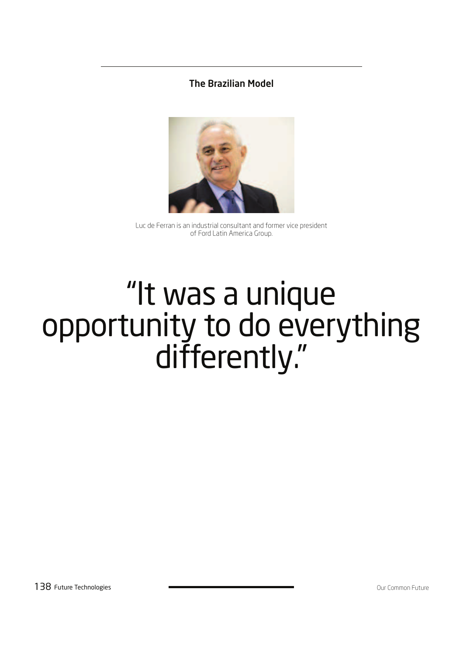#### The Brazilian Model



Luc de Ferran is an industrial consultant and former vice president of Ford Latin America Group.

# "It was a unique opportunity to do everything differently."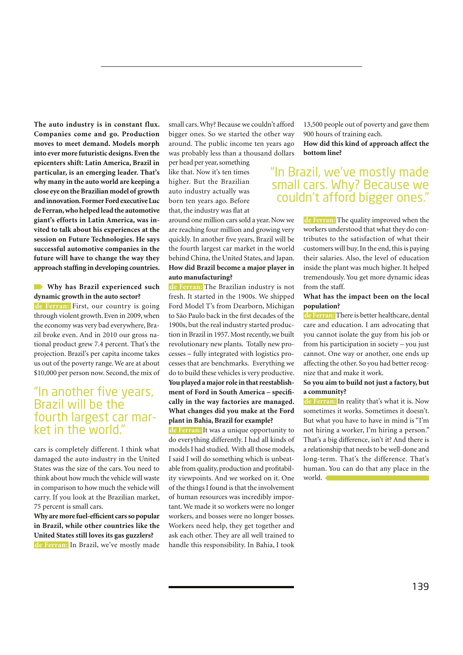**The auto industry is in constant flux. Companies come and go. Production moves to meet demand. Models morph into ever more futuristic designs. Even the epicenters shift: Latin America, Brazil in particular, is an emerging leader. That's why many in the auto world are keeping a close eye on the Brazilian model of growth and innovation. Former Ford executive Luc de Ferran, who helped lead the automotive giant's efforts in Latin America, was invited to talk about his experiences at the session on Future Technologies. He says successful automotive companies in the future will have to change the way they approach staffing in developing countries.**

**Why has Brazil experienced such dynamic growth in the auto sector?**

**de Ferran:** First, our country is going through violent growth. Even in 2009, when the economy was very bad everywhere, Brazil broke even. And in 2010 our gross national product grew 7.4 percent. That's the projection. Brazil's per capita income takes us out of the poverty range. We are at about \$10,000 per person now. Second, the mix of

#### "In another five years, Brazil will be the fourth largest car market in the world."

cars is completely different. I think what damaged the auto industry in the United States was the size of the cars. You need to think about how much the vehicle will waste in comparison to how much the vehicle will carry. If you look at the Brazilian market, 75 percent is small cars.

**Why are more fuel-efficient cars so popular in Brazil, while other countries like the United States still loves its gas guzzlers? de Ferran:** In Brazil, we've mostly made small cars. Why? Because we couldn't afford bigger ones. So we started the other way around. The public income ten years ago was probably less than a thousand dollars

per head per year, something like that. Now it's ten times higher. But the Brazilian auto industry actually was born ten years ago. Before that, the industry was flat at

around one million cars sold a year. Now we are reaching four million and growing very quickly. In another five years, Brazil will be the fourth largest car market in the world behind China, the United States, and Japan. **How did Brazil become a major player in auto manufacturing?**

**de Ferran:** The Brazilian industry is not fresh. It started in the 1900s. We shipped Ford Model T's from Dearborn, Michigan to São Paulo back in the first decades of the 1900s, but the real industry started production in Brazil in 1957. Most recently, we built revolutionary new plants. Totally new processes – fully integrated with logistics processes that are benchmarks. Everything we do to build these vehicles is very productive. **You played a major role in that reestablishment of Ford in South America – specifically in the way factories are managed. What changes did you make at the Ford plant in Bahia, Brazil for example?**

**de Ferran:** It was a unique opportunity to do everything differently. I had all kinds of models I had studied. With all those models, I said I will do something which is unbeatable from quality, production and profitability viewpoints. And we worked on it. One of the things I found is that the involvement of human resources was incredibly important. We made it so workers were no longer workers, and bosses were no longer bosses. Workers need help, they get together and ask each other. They are all well trained to handle this responsibility. In Bahia, I took 13,500 people out of poverty and gave them 900 hours of training each.

**How did this kind of approach affect the bottom line?** 

#### "In Brazil, we've mostly made small cars. Why? Because we couldn't afford bigger ones."

**de Ferran:** The quality improved when the workers understood that what they do contributes to the satisfaction of what their customers will buy. In the end, this is paying their salaries. Also, the level of education inside the plant was much higher. It helped tremendously. You get more dynamic ideas from the staff.

#### **What has the impact been on the local population?**

**de Ferran:** There is better healthcare, dental care and education. I am advocating that you cannot isolate the guy from his job or from his participation in society – you just cannot. One way or another, one ends up affecting the other. So you had better recognize that and make it work.

#### **So you aim to build not just a factory, but a community?**

**de Ferran:** In reality that's what it is. Now sometimes it works. Sometimes it doesn't. But what you have to have in mind is "I'm not hiring a worker, I'm hiring a person." That's a big difference, isn't it? And there is a relationship that needs to be well-done and long-term. That's the difference. That's human. You can do that any place in the world.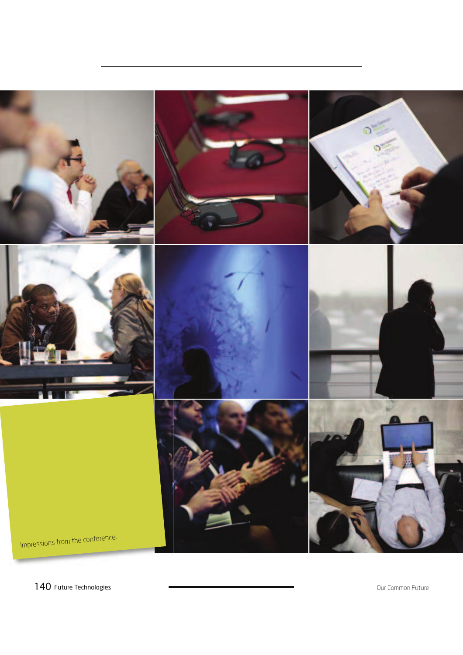